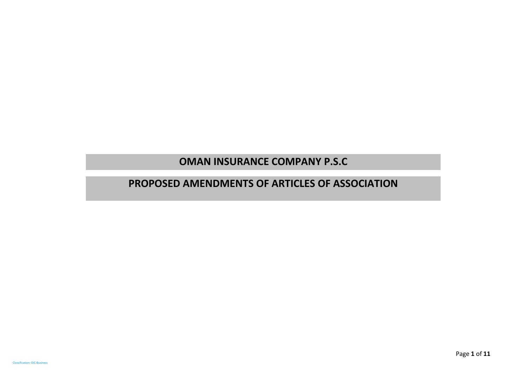## **OMAN INSURANCE COMPANY P.S.C**

## **PROPOSED AMENDMENTS OF ARTICLES OF ASSOCIATION**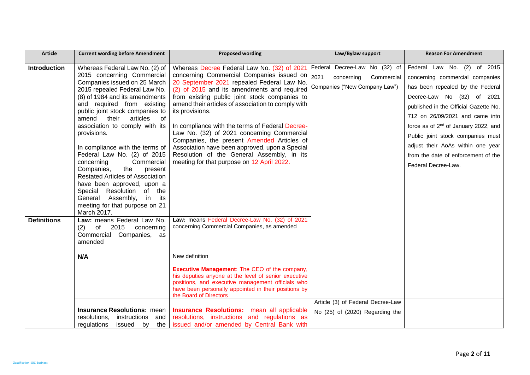| <b>Article</b>      | <b>Current wording before Amendment</b>                                                                                                                                                                                                                                                                                                                                                                                                                                                                                                                                                                                                        | <b>Proposed wording</b>                                                                                                                                                                                                                                                                                                                                                                                                                                                                                                                                                                                      | Law/Bylaw support                                                                                  | <b>Reason For Amendment</b>                                                                                                                                                                                                                                                                                                                                                                              |
|---------------------|------------------------------------------------------------------------------------------------------------------------------------------------------------------------------------------------------------------------------------------------------------------------------------------------------------------------------------------------------------------------------------------------------------------------------------------------------------------------------------------------------------------------------------------------------------------------------------------------------------------------------------------------|--------------------------------------------------------------------------------------------------------------------------------------------------------------------------------------------------------------------------------------------------------------------------------------------------------------------------------------------------------------------------------------------------------------------------------------------------------------------------------------------------------------------------------------------------------------------------------------------------------------|----------------------------------------------------------------------------------------------------|----------------------------------------------------------------------------------------------------------------------------------------------------------------------------------------------------------------------------------------------------------------------------------------------------------------------------------------------------------------------------------------------------------|
| <b>Introduction</b> | Whereas Federal Law No. (2) of<br>2015 concerning Commercial<br>Companies issued on 25 March<br>2015 repealed Federal Law No.<br>(8) of 1984 and its amendments<br>and required from existing<br>public joint stock companies to<br>$\circ$ of<br>amend<br>their<br>articles<br>association to comply with its<br>provisions.<br>In compliance with the terms of<br>Federal Law No. (2) of 2015<br>Commercial<br>concerning<br>Companies,<br>the<br>present<br><b>Restated Articles of Association</b><br>have been approved, upon a<br>Special Resolution of the<br>General Assembly, in its<br>meeting for that purpose on 21<br>March 2017. | Whereas Decree Federal Law No. (32) of 2021<br>concerning Commercial Companies issued on<br>20 September 2021 repealed Federal Law No.<br>(2) of 2015 and its amendments and required<br>from existing public joint stock companies to<br>amend their articles of association to comply with<br>its provisions.<br>In compliance with the terms of Federal Decree-<br>Law No. (32) of 2021 concerning Commercial<br>Companies, the present Amended Articles of<br>Association have been approved, upon a Special<br>Resolution of the General Assembly, in its<br>meeting for that purpose on 12 April 2022. | Federal Decree-Law No (32) of<br>2021<br>Commercial<br>concerning<br>Companies ("New Company Law") | Federal Law No. (2) of 2015<br>concerning commercial companies<br>has been repealed by the Federal<br>Decree-Law No (32) of 2021<br>published in the Official Gazette No.<br>712 on 26/09/2021 and came into<br>force as of 2 <sup>nd</sup> of January 2022, and<br>Public joint stock companies must<br>adjust their AoAs within one year<br>from the date of enforcement of the<br>Federal Decree-Law. |
| <b>Definitions</b>  | Law: means Federal Law No.<br>2015<br>(2)<br>concerning<br>of<br>Commercial Companies, as<br>amended<br>N/A                                                                                                                                                                                                                                                                                                                                                                                                                                                                                                                                    | Law: means Federal Decree-Law No. (32) of 2021<br>concerning Commercial Companies, as amended<br>New definition<br><b>Executive Management:</b> The CEO of the company,<br>his deputies anyone at the level of senior executive                                                                                                                                                                                                                                                                                                                                                                              |                                                                                                    |                                                                                                                                                                                                                                                                                                                                                                                                          |
|                     |                                                                                                                                                                                                                                                                                                                                                                                                                                                                                                                                                                                                                                                | positions, and executive management officials who<br>have been personally appointed in their positions by<br>the Board of Directors                                                                                                                                                                                                                                                                                                                                                                                                                                                                          |                                                                                                    |                                                                                                                                                                                                                                                                                                                                                                                                          |
|                     | <b>Insurance Resolutions: mean</b><br>resolutions,<br>instructions<br>and<br>regulations<br>issued by<br>the                                                                                                                                                                                                                                                                                                                                                                                                                                                                                                                                   | <b>Insurance Resolutions:</b> mean all applicable<br>resolutions, instructions and regulations as<br>issued and/or amended by Central Bank with                                                                                                                                                                                                                                                                                                                                                                                                                                                              | Article (3) of Federal Decree-Law<br>No (25) of (2020) Regarding the                               |                                                                                                                                                                                                                                                                                                                                                                                                          |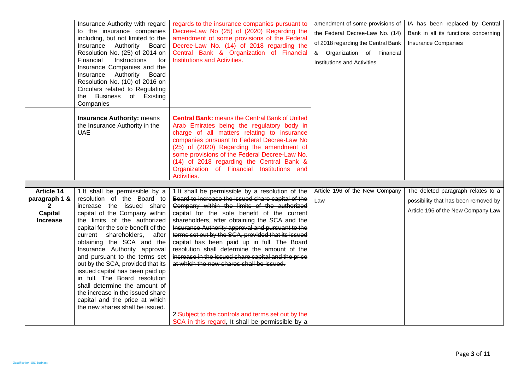|                                                                                         | Insurance Authority with regard<br>to the insurance companies<br>including, but not limited to the<br>Authority Board<br>Insurance<br>Resolution No. (25) of 2014 on<br>Financial<br>Instructions<br>for<br>Insurance Companies and the<br>Insurance<br>Authority Board<br>Resolution No. (10) of 2016 on<br>Circulars related to Regulating<br>the Business of Existing<br>Companies                                                                                                                                                                                             | regards to the insurance companies pursuant to<br>Decree-Law No (25) of (2020) Regarding the<br>amendment of some provisions of the Federal<br>Decree-Law No. (14) of 2018 regarding the<br>Central Bank & Organization of Financial<br>Institutions and Activities.                                                                                                                                                                                                                                                                                                                                                                                                       | amendment of some provisions of<br>the Federal Decree-Law No. (14)<br>of 2018 regarding the Central Bank<br>& Organization of Financial<br>Institutions and Activities | IA has been replaced by Central<br>Bank in all its functions concerning<br><b>Insurance Companies</b>            |
|-----------------------------------------------------------------------------------------|-----------------------------------------------------------------------------------------------------------------------------------------------------------------------------------------------------------------------------------------------------------------------------------------------------------------------------------------------------------------------------------------------------------------------------------------------------------------------------------------------------------------------------------------------------------------------------------|----------------------------------------------------------------------------------------------------------------------------------------------------------------------------------------------------------------------------------------------------------------------------------------------------------------------------------------------------------------------------------------------------------------------------------------------------------------------------------------------------------------------------------------------------------------------------------------------------------------------------------------------------------------------------|------------------------------------------------------------------------------------------------------------------------------------------------------------------------|------------------------------------------------------------------------------------------------------------------|
|                                                                                         | <b>Insurance Authority: means</b><br>the Insurance Authority in the<br><b>UAE</b>                                                                                                                                                                                                                                                                                                                                                                                                                                                                                                 | <b>Central Bank: means the Central Bank of United</b><br>Arab Emirates being the regulatory body in<br>charge of all matters relating to insurance<br>companies pursuant to Federal Decree-Law No<br>(25) of (2020) Regarding the amendment of<br>some provisions of the Federal Decree-Law No.<br>(14) of 2018 regarding the Central Bank &<br>Organization of Financial Institutions and<br>Activities.                                                                                                                                                                                                                                                                  |                                                                                                                                                                        |                                                                                                                  |
|                                                                                         |                                                                                                                                                                                                                                                                                                                                                                                                                                                                                                                                                                                   |                                                                                                                                                                                                                                                                                                                                                                                                                                                                                                                                                                                                                                                                            |                                                                                                                                                                        |                                                                                                                  |
| <b>Article 14</b><br>paragraph 1 &<br>$\mathbf{2}$<br><b>Capital</b><br><b>Increase</b> | 1.It shall be permissible by a<br>resolution of the Board to<br>increase the issued share<br>capital of the Company within<br>the limits of the authorized<br>capital for the sole benefit of the<br>current shareholders, after<br>obtaining the SCA and the<br>Insurance Authority approval<br>and pursuant to the terms set<br>out by the SCA, provided that its<br>issued capital has been paid up<br>in full. The Board resolution<br>shall determine the amount of<br>the increase in the issued share<br>capital and the price at which<br>the new shares shall be issued. | 1.It shall be permissible by a resolution of the<br>Board to increase the issued share capital of the<br>Company within the limits of the authorized<br>capital for the sole benefit of the current<br>shareholders, after obtaining the SCA and the<br>Insurance Authority approval and pursuant to the<br>terms set out by the SCA, provided that its issued<br>capital has been paid up in full. The Board<br>resolution shall determine the amount of the<br>increase in the issued share capital and the price<br>at which the new shares shall be issued.<br>2. Subject to the controls and terms set out by the<br>SCA in this regard, It shall be permissible by a | Article 196 of the New Company<br>Law                                                                                                                                  | The deleted paragraph relates to a<br>possibility that has been removed by<br>Article 196 of the New Company Law |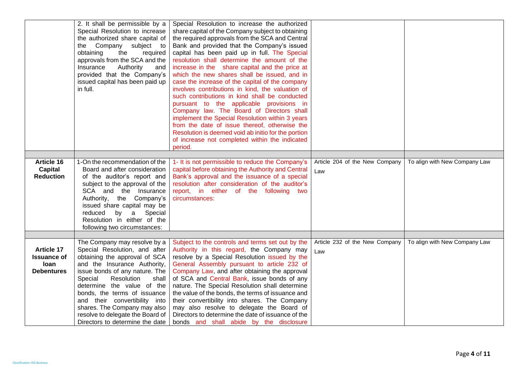|                    | 2. It shall be permissible by a          | Special Resolution to increase the authorized       |                                |                               |
|--------------------|------------------------------------------|-----------------------------------------------------|--------------------------------|-------------------------------|
|                    | Special Resolution to increase           | share capital of the Company subject to obtaining   |                                |                               |
|                    | the authorized share capital of          | the required approvals from the SCA and Central     |                                |                               |
|                    | Company subject to<br>the                | Bank and provided that the Company's issued         |                                |                               |
|                    | obtaining<br>the<br>required             | capital has been paid up in full. The Special       |                                |                               |
|                    | approvals from the SCA and the           | resolution shall determine the amount of the        |                                |                               |
|                    | Insurance<br>Authority<br>and            | increase in the share capital and the price at      |                                |                               |
|                    | provided that the Company's              | which the new shares shall be issued, and in        |                                |                               |
|                    | issued capital has been paid up          | case the increase of the capital of the company     |                                |                               |
|                    | in full.                                 | involves contributions in kind, the valuation of    |                                |                               |
|                    |                                          | such contributions in kind shall be conducted       |                                |                               |
|                    |                                          | pursuant to the applicable provisions in            |                                |                               |
|                    |                                          | Company law. The Board of Directors shall           |                                |                               |
|                    |                                          | implement the Special Resolution within 3 years     |                                |                               |
|                    |                                          | from the date of issue thereof, otherwise the       |                                |                               |
|                    |                                          | Resolution is deemed void ab initio for the portion |                                |                               |
|                    |                                          | of increase not completed within the indicated      |                                |                               |
|                    |                                          | period.                                             |                                |                               |
|                    |                                          |                                                     |                                |                               |
| Article 16         | 1-On the recommendation of the           | 1- It is not permissible to reduce the Company's    | Article 204 of the New Company | To align with New Company Law |
| Capital            | Board and after consideration            | capital before obtaining the Authority and Central  | Law                            |                               |
| <b>Reduction</b>   | of the auditor's report and              | Bank's approval and the issuance of a special       |                                |                               |
|                    | subject to the approval of the           | resolution after consideration of the auditor's     |                                |                               |
|                    | SCA and the Insurance                    | report, in either of the following two              |                                |                               |
|                    | Authority, the Company's                 | circumstances:                                      |                                |                               |
|                    | issued share capital may be              |                                                     |                                |                               |
|                    | by<br>reduced<br>$\mathbf{a}$<br>Special |                                                     |                                |                               |
|                    | Resolution in either of the              |                                                     |                                |                               |
|                    | following two circumstances:             |                                                     |                                |                               |
|                    |                                          |                                                     |                                |                               |
|                    | The Company may resolve by a             | Subject to the controls and terms set out by the    | Article 232 of the New Company | To align with New Company Law |
| <b>Article 17</b>  | Special Resolution, and after            | Authority in this regard, the Company may           | Law                            |                               |
| <b>Issuance of</b> | obtaining the approval of SCA            | resolve by a Special Resolution issued by the       |                                |                               |
| loan               | and the Insurance Authority,             | General Assembly pursuant to article 232 of         |                                |                               |
| <b>Debentures</b>  | issue bonds of any nature. The           | Company Law, and after obtaining the approval       |                                |                               |
|                    | Special<br>Resolution<br>shall           | of SCA and Central Bank, issue bonds of any         |                                |                               |
|                    | determine the value of the               | nature. The Special Resolution shall determine      |                                |                               |
|                    | bonds, the terms of issuance             | the value of the bonds, the terms of issuance and   |                                |                               |
|                    | and their convertibility into            | their convertibility into shares. The Company       |                                |                               |
|                    | shares. The Company may also             | may also resolve to delegate the Board of           |                                |                               |
|                    | resolve to delegate the Board of         | Directors to determine the date of issuance of the  |                                |                               |
|                    | Directors to determine the date          | bonds and shall abide by the disclosure             |                                |                               |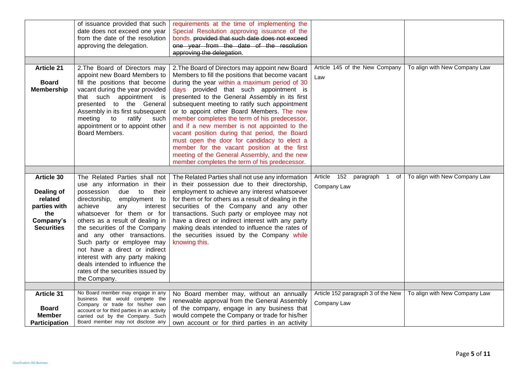|                      | of issuance provided that such                                       | requirements at the time of implementing the                                      |                                     |                               |
|----------------------|----------------------------------------------------------------------|-----------------------------------------------------------------------------------|-------------------------------------|-------------------------------|
|                      | date does not exceed one year                                        | Special Resolution approving issuance of the                                      |                                     |                               |
|                      | from the date of the resolution                                      | bonds. provided that such date does not exceed                                    |                                     |                               |
|                      | approving the delegation.                                            | one year from the date of the resolution                                          |                                     |                               |
|                      |                                                                      | approving the delegation.                                                         |                                     |                               |
|                      |                                                                      |                                                                                   |                                     |                               |
| <b>Article 21</b>    | 2. The Board of Directors may                                        | 2. The Board of Directors may appoint new Board                                   | Article 145 of the New Company      | To align with New Company Law |
|                      | appoint new Board Members to                                         | Members to fill the positions that become vacant                                  | Law                                 |                               |
| <b>Board</b>         | fill the positions that become                                       | during the year within a maximum period of 30                                     |                                     |                               |
| <b>Membership</b>    | vacant during the year provided                                      | days provided that such appointment is                                            |                                     |                               |
|                      | that such appointment is                                             | presented to the General Assembly in its first                                    |                                     |                               |
|                      | presented to the General                                             | subsequent meeting to ratify such appointment                                     |                                     |                               |
|                      | Assembly in its first subsequent                                     | or to appoint other Board Members. The new                                        |                                     |                               |
|                      | meeting<br>to<br>ratify<br>such                                      | member completes the term of his predecessor,                                     |                                     |                               |
|                      | appointment or to appoint other                                      | and if a new member is not appointed to the                                       |                                     |                               |
|                      | Board Members.                                                       | vacant position during that period, the Board                                     |                                     |                               |
|                      |                                                                      | must open the door for candidacy to elect a                                       |                                     |                               |
|                      |                                                                      | member for the vacant position at the first                                       |                                     |                               |
|                      |                                                                      | meeting of the General Assembly, and the new                                      |                                     |                               |
|                      |                                                                      | member completes the term of his predecessor.                                     |                                     |                               |
|                      |                                                                      |                                                                                   |                                     |                               |
| Article 30           |                                                                      | The Related Parties shall not   The Related Parties shall not use any information | Article<br>152<br>paragraph 1<br>of | To align with New Company Law |
|                      | use any information in their                                         | in their possession due to their directorship,                                    | Company Law                         |                               |
| Dealing of           | possession<br>due<br>to<br>their                                     | employment to achieve any interest whatsoever                                     |                                     |                               |
| related              | directorship,<br>employment to                                       | for them or for others as a result of dealing in the                              |                                     |                               |
| parties with         | achieve<br>interest<br>any                                           | securities of the Company and any other                                           |                                     |                               |
| the                  | whatsoever for them or for                                           | transactions. Such party or employee may not                                      |                                     |                               |
| Company's            | others as a result of dealing in                                     | have a direct or indirect interest with any party                                 |                                     |                               |
| <b>Securities</b>    | the securities of the Company                                        | making deals intended to influence the rates of                                   |                                     |                               |
|                      | and any other transactions.                                          | the securities issued by the Company while                                        |                                     |                               |
|                      | Such party or employee may                                           | knowing this.                                                                     |                                     |                               |
|                      | not have a direct or indirect                                        |                                                                                   |                                     |                               |
|                      | interest with any party making                                       |                                                                                   |                                     |                               |
|                      | deals intended to influence the                                      |                                                                                   |                                     |                               |
|                      | rates of the securities issued by                                    |                                                                                   |                                     |                               |
|                      | the Company.                                                         |                                                                                   |                                     |                               |
|                      |                                                                      |                                                                                   |                                     |                               |
| <b>Article 31</b>    | No Board member may engage in any<br>business that would compete the | No Board member may, without an annually                                          | Article 152 paragraph 3 of the New  | To align with New Company Law |
|                      | Company or trade for his/her own                                     | renewable approval from the General Assembly                                      | Company Law                         |                               |
| <b>Board</b>         | account or for third parties in an activity                          | of the company, engage in any business that                                       |                                     |                               |
| <b>Member</b>        | carried out by the Company. Such                                     | would compete the Company or trade for his/her                                    |                                     |                               |
| <b>Participation</b> | Board member may not disclose any                                    | own account or for third parties in an activity                                   |                                     |                               |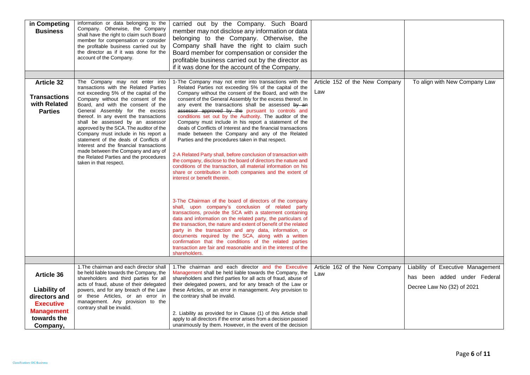| in Competing<br><b>Business</b>                                                                          | information or data belonging to the<br>Company. Otherwise, the Company<br>shall have the right to claim such Board<br>member for compensation or consider<br>the profitable business carried out by<br>the director as if it was done for the<br>account of the Company.                                                                                                                                                                                                                                                                                                                         | carried out by the Company. Such Board<br>member may not disclose any information or data<br>belonging to the Company. Otherwise, the<br>Company shall have the right to claim such<br>Board member for compensation or consider the<br>profitable business carried out by the director as<br>if it was done for the account of the Company.                                                                                                                                                                                                                                                                                                                                                                                                                                                                                                                                                                                                                                                                                                                                                                                                                                                                                                                                                                                    |                                       |                                                                                                 |
|----------------------------------------------------------------------------------------------------------|---------------------------------------------------------------------------------------------------------------------------------------------------------------------------------------------------------------------------------------------------------------------------------------------------------------------------------------------------------------------------------------------------------------------------------------------------------------------------------------------------------------------------------------------------------------------------------------------------|---------------------------------------------------------------------------------------------------------------------------------------------------------------------------------------------------------------------------------------------------------------------------------------------------------------------------------------------------------------------------------------------------------------------------------------------------------------------------------------------------------------------------------------------------------------------------------------------------------------------------------------------------------------------------------------------------------------------------------------------------------------------------------------------------------------------------------------------------------------------------------------------------------------------------------------------------------------------------------------------------------------------------------------------------------------------------------------------------------------------------------------------------------------------------------------------------------------------------------------------------------------------------------------------------------------------------------|---------------------------------------|-------------------------------------------------------------------------------------------------|
|                                                                                                          |                                                                                                                                                                                                                                                                                                                                                                                                                                                                                                                                                                                                   |                                                                                                                                                                                                                                                                                                                                                                                                                                                                                                                                                                                                                                                                                                                                                                                                                                                                                                                                                                                                                                                                                                                                                                                                                                                                                                                                 |                                       |                                                                                                 |
| <b>Article 32</b><br><b>Transactions</b><br>with Related<br><b>Parties</b>                               | The Company may not enter into<br>transactions with the Related Parties<br>not exceeding 5% of the capital of the<br>Company without the consent of the<br>Board, and with the consent of the<br>General Assembly for the excess<br>thereof. In any event the transactions<br>shall be assessed by an assessor<br>approved by the SCA. The auditor of the<br>Company must include in his report a<br>statement of the deals of Conflicts of<br>Interest and the financial transactions<br>made between the Company and any of<br>the Related Parties and the procedures<br>taken in that respect. | 1-The Company may not enter into transactions with the<br>Related Parties not exceeding 5% of the capital of the<br>Company without the consent of the Board, and with the<br>consent of the General Assembly for the excess thereof. In<br>any event the transactions shall be assessed by an<br>assessor approved by the pursuant to controls and<br>conditions set out by the Authority. The auditor of the<br>Company must include in his report a statement of the<br>deals of Conflicts of Interest and the financial transactions<br>made between the Company and any of the Related<br>Parties and the procedures taken in that respect.<br>2-A Related Party shall, before conclusion of transaction with<br>the company, disclose to the board of directors the nature and<br>conditions of the transaction, all material information on his<br>share or contribution in both companies and the extent of<br>interest or benefit therein.<br>3-The Chairman of the board of directors of the company<br>shall, upon company's conclusion of related party<br>transactions, provide the SCA with a statement containing<br>data and information on the related party, the particulars of<br>the transaction, the nature and extent of benefit of the related<br>party in the transaction and any data, information, or | Article 152 of the New Company<br>Law | To align with New Company Law                                                                   |
|                                                                                                          |                                                                                                                                                                                                                                                                                                                                                                                                                                                                                                                                                                                                   | documents required by the SCA, along with a written<br>confirmation that the conditions of the related parties<br>transaction are fair and reasonable and in the interest of the<br>shareholders.                                                                                                                                                                                                                                                                                                                                                                                                                                                                                                                                                                                                                                                                                                                                                                                                                                                                                                                                                                                                                                                                                                                               |                                       |                                                                                                 |
|                                                                                                          |                                                                                                                                                                                                                                                                                                                                                                                                                                                                                                                                                                                                   |                                                                                                                                                                                                                                                                                                                                                                                                                                                                                                                                                                                                                                                                                                                                                                                                                                                                                                                                                                                                                                                                                                                                                                                                                                                                                                                                 |                                       |                                                                                                 |
| Article 36                                                                                               | 1. The chairman and each director shall<br>be held liable towards the Company, the<br>shareholders and third parties for all<br>acts of fraud, abuse of their delegated                                                                                                                                                                                                                                                                                                                                                                                                                           | 1. The chairman and each director and the Executive<br>Management shall be held liable towards the Company, the<br>shareholders and third parties for all acts of fraud, abuse of<br>their delegated powers, and for any breach of the Law or                                                                                                                                                                                                                                                                                                                                                                                                                                                                                                                                                                                                                                                                                                                                                                                                                                                                                                                                                                                                                                                                                   | Article 162 of the New Company<br>Law | Liability of Executive Management<br>has been added under Federal<br>Decree Law No (32) of 2021 |
| <b>Liability of</b><br>directors and<br><b>Executive</b><br><b>Management</b><br>towards the<br>Company, | powers, and for any breach of the Law<br>or these Articles, or an error in<br>management. Any provision to the<br>contrary shall be invalid.                                                                                                                                                                                                                                                                                                                                                                                                                                                      | these Articles, or an error in management. Any provision to<br>the contrary shall be invalid.<br>2. Liability as provided for in Clause (1) of this Article shall<br>apply to all directors if the error arises from a decision passed<br>unanimously by them. However, in the event of the decision                                                                                                                                                                                                                                                                                                                                                                                                                                                                                                                                                                                                                                                                                                                                                                                                                                                                                                                                                                                                                            |                                       |                                                                                                 |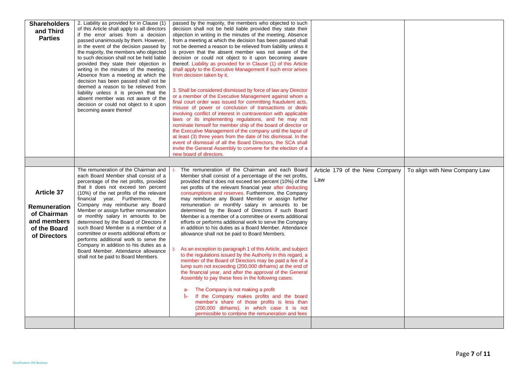| <b>Shareholders</b><br>and Third<br><b>Parties</b>                                              | 2. Liability as provided for in Clause (1)<br>of this Article shall apply to all directors<br>if the error arises from a decision<br>passed unanimously by them. However,<br>in the event of the decision passed by<br>the majority, the members who objected<br>to such decision shall not be held liable<br>provided they state their objection in<br>writing in the minutes of the meeting.<br>Absence from a meeting at which the<br>decision has been passed shall not be<br>deemed a reason to be relieved from<br>liability unless it is proven that the<br>absent member was not aware of the<br>decision or could not object to it upon<br>becoming aware thereof | passed by the majority, the members who objected to such<br>decision shall not be held liable provided they state their<br>objection in writing in the minutes of the meeting. Absence<br>from a meeting at which the decision has been passed shall<br>not be deemed a reason to be relieved from liability unless it<br>is proven that the absent member was not aware of the<br>decision or could not object to it upon becoming aware<br>thereof. Liability as provided for in Clause (1) of this Article<br>shall apply to the Executive Management if such error arises<br>from decision taken by it.<br>3. Shall be considered dismissed by force of law any Director<br>or a member of the Executive Management against whom a<br>final court order was issued for committing fraudulent acts,<br>misuse of power or conclusion of transactions or deals<br>involving conflict of interest in contravention with applicable<br>laws or its implementing regulations, and he may not<br>nominate himself for member ship of the board of director or<br>the Executive Management of the company until the lapse of<br>at least (3) three years from the date of his dismissal. In the<br>event of dismissal of all the Board Directors, the SCA shall<br>invite the General Assembly to convene for the election of a<br>new board of directors. |                                |                               |
|-------------------------------------------------------------------------------------------------|----------------------------------------------------------------------------------------------------------------------------------------------------------------------------------------------------------------------------------------------------------------------------------------------------------------------------------------------------------------------------------------------------------------------------------------------------------------------------------------------------------------------------------------------------------------------------------------------------------------------------------------------------------------------------|---------------------------------------------------------------------------------------------------------------------------------------------------------------------------------------------------------------------------------------------------------------------------------------------------------------------------------------------------------------------------------------------------------------------------------------------------------------------------------------------------------------------------------------------------------------------------------------------------------------------------------------------------------------------------------------------------------------------------------------------------------------------------------------------------------------------------------------------------------------------------------------------------------------------------------------------------------------------------------------------------------------------------------------------------------------------------------------------------------------------------------------------------------------------------------------------------------------------------------------------------------------------------------------------------------------------------------------------------------|--------------------------------|-------------------------------|
|                                                                                                 | The remuneration of the Chairman and                                                                                                                                                                                                                                                                                                                                                                                                                                                                                                                                                                                                                                       | The remuneration of the Chairman and each Board                                                                                                                                                                                                                                                                                                                                                                                                                                                                                                                                                                                                                                                                                                                                                                                                                                                                                                                                                                                                                                                                                                                                                                                                                                                                                                         | Article 179 of the New Company | To align with New Company Law |
| <b>Article 37</b><br>Remuneration<br>of Chairman<br>and members<br>of the Board<br>of Directors | each Board Member shall consist of a<br>percentage of the net profits, provided<br>that it does not exceed ten percent<br>(10%) of the net profits of the relevant<br>financial year. Furthermore, the<br>Company may reimburse any Board<br>Member or assign further remuneration<br>or monthly salary in amounts to be<br>determined by the Board of Directors if<br>such Board Member is a member of a<br>committee or exerts additional efforts or<br>performs additional work to serve the<br>Company in addition to his duties as a<br>Board Member. Attendance allowance<br>shall not be paid to Board Members.                                                     | Member shall consist of a percentage of the net profits,<br>provided that it does not exceed ten percent (10%) of the<br>net profits of the relevant financial year after deducting<br>consumptions and reserves. Furthermore, the Company<br>may reimburse any Board Member or assign further<br>remuneration or monthly salary in amounts to be<br>determined by the Board of Directors if such Board<br>Member is a member of a committee or exerts additional<br>efforts or performs additional work to serve the Company<br>in addition to his duties as a Board Member. Attendance<br>allowance shall not be paid to Board Members.<br>As an exception to paragraph 1 of this Article, and subject<br>to the regulations issued by the Authority in this regard, a<br>member of the Board of Directors may be paid a fee of a<br>lump sum not exceeding (200,000 dirhams) at the end of<br>the financial year, and after the approval of the General<br>Assembly to pay these fees in the following cases:<br>The Company is not making a profit<br>$a-$<br>If the Company makes profits and the board<br>$b$<br>member's share of those profits is less than<br>(200,000 dirhams), in which case it is not<br>permissible to combine the remuneration and fees                                                                                   | Law                            |                               |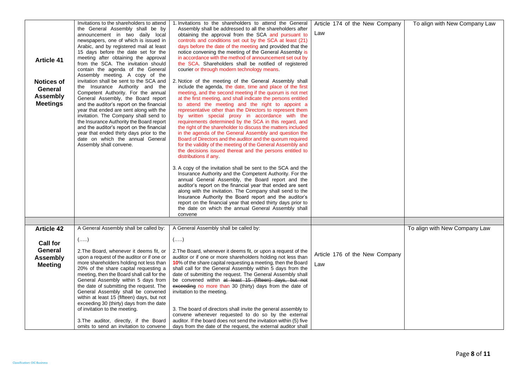|                   | Invitations to the shareholders to attend  | 1. Invitations to the shareholders to attend the General           | Article 174 of the New Company | To align with New Company Law |
|-------------------|--------------------------------------------|--------------------------------------------------------------------|--------------------------------|-------------------------------|
|                   | the General Assembly shall be by           | Assembly shall be addressed to all the shareholders after          |                                |                               |
|                   | announcement in two daily local            | obtaining the approval from the SCA and pursuant to                | Law                            |                               |
|                   | newspapers, one of which is issued in      | controls and conditions set out by the SCA at least (21)           |                                |                               |
|                   | Arabic, and by registered mail at least    | days before the date of the meeting and provided that the          |                                |                               |
|                   | 15 days before the date set for the        | notice convening the meeting of the General Assembly is            |                                |                               |
| <b>Article 41</b> | meeting after obtaining the approval       | in accordance with the method of announcement set out by           |                                |                               |
|                   | from the SCA. The invitation should        | the SCA. Shareholders shall be notified of registered              |                                |                               |
|                   | contain the agenda of the General          | courier or through modern technology means.                        |                                |                               |
|                   | Assembly meeting. A copy of the            |                                                                    |                                |                               |
| Notices of        | invitation shall be sent to the SCA and    | 2. Notice of the meeting of the General Assembly shall             |                                |                               |
| General           | the Insurance Authority and the            | include the agenda, the date, time and place of the first          |                                |                               |
|                   | Competent Authority. For the annual        | meeting, and the second meeting if the quorum is not met           |                                |                               |
| <b>Assembly</b>   | General Assembly, the Board report         | at the first meeting, and shall indicate the persons entitled      |                                |                               |
| <b>Meetings</b>   | and the auditor's report on the financial  | to attend the meeting and the right to appoint a                   |                                |                               |
|                   | year that ended are sent along with the    | representative other than the Directors to represent them          |                                |                               |
|                   | invitation. The Company shall send to      | by written special proxy in accordance with the                    |                                |                               |
|                   | the Insurance Authority the Board report   | requirements determined by the SCA in this regard, and             |                                |                               |
|                   | and the auditor's report on the financial  | the right of the shareholder to discuss the matters included       |                                |                               |
|                   | year that ended thirty days prior to the   | in the agenda of the General Assembly and question the             |                                |                               |
|                   | date on which the annual General           | Board of Directors and the auditor and the quorum required         |                                |                               |
|                   | Assembly shall convene.                    | for the validity of the meeting of the General Assembly and        |                                |                               |
|                   |                                            | the decisions issued thereat and the persons entitled to           |                                |                               |
|                   |                                            | distributions if any                                               |                                |                               |
|                   |                                            |                                                                    |                                |                               |
|                   |                                            | 3. A copy of the invitation shall be sent to the SCA and the       |                                |                               |
|                   |                                            | Insurance Authority and the Competent Authority. For the           |                                |                               |
|                   |                                            | annual General Assembly, the Board report and the                  |                                |                               |
|                   |                                            | auditor's report on the financial year that ended are sent         |                                |                               |
|                   |                                            | along with the invitation. The Company shall send to the           |                                |                               |
|                   |                                            | Insurance Authority the Board report and the auditor's             |                                |                               |
|                   |                                            | report on the financial year that ended thirty days prior to       |                                |                               |
|                   |                                            | the date on which the annual General Assembly shall                |                                |                               |
|                   |                                            | convene                                                            |                                |                               |
|                   |                                            |                                                                    |                                |                               |
| <b>Article 42</b> | A General Assembly shall be called by:     | A General Assembly shall be called by:                             |                                | To align with New Company Law |
|                   |                                            |                                                                    |                                |                               |
|                   | $(\ldots)$                                 | $(\ldots)$                                                         |                                |                               |
| <b>Call for</b>   |                                            |                                                                    |                                |                               |
| General           | 2. The Board, whenever it deems fit, or    | 2. The Board, whenever it deems fit, or upon a request of the      |                                |                               |
| <b>Assembly</b>   | upon a request of the auditor or if one or | auditor or if one or more shareholders holding not less than       | Article 176 of the New Company |                               |
|                   | more shareholders holding not less than    | 10% of the share capital requesting a meeting, then the Board      | Law                            |                               |
| <b>Meeting</b>    | 20% of the share capital requesting a      | shall call for the General Assembly within 5 days from the         |                                |                               |
|                   | meeting, then the Board shall call for the | date of submitting the request. The General Assembly shall         |                                |                               |
|                   | General Assembly within 5 days from        | be convened within at least 15 (fifteen) days, but not             |                                |                               |
|                   | the date of submitting the request. The    | exceeding no more than 30 (thirty) days from the date of           |                                |                               |
|                   | General Assembly shall be convened         | invitation to the meeting.                                         |                                |                               |
|                   | within at least 15 (fifteen) days, but not |                                                                    |                                |                               |
|                   | exceeding 30 (thirty) days from the date   |                                                                    |                                |                               |
|                   | of invitation to the meeting.              | 3. The board of directors shall invite the general assembly to     |                                |                               |
|                   |                                            | convene whenever requested to do so by the external                |                                |                               |
|                   | 3. The auditor, directly, if the Board     | auditor. If the board does not send the invitation within (5) five |                                |                               |
|                   | omits to send an invitation to convene     | days from the date of the request, the external auditor shall      |                                |                               |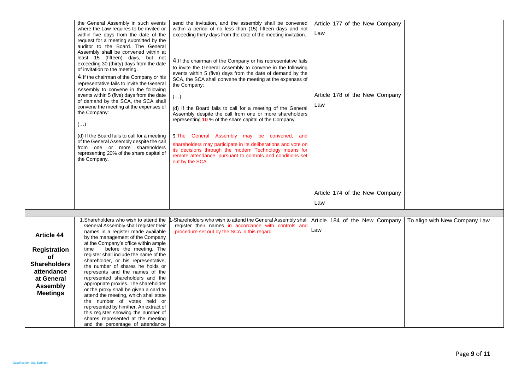|                                                                                                                                  | the General Assembly in such events<br>where the Law requires to be invited or<br>within five days from the date of the<br>request for a meeting submitted by the<br>auditor to the Board. The General<br>Assembly shall be convened within at<br>least 15 (fifteen) days, but not<br>exceeding 30 (thirty) days from the date<br>of invitation to the meeting.<br>4. If the chairman of the Company or his<br>representative fails to invite the General<br>Assembly to convene in the following<br>events within 5 (five) days from the date<br>of demand by the SCA, the SCA shall<br>convene the meeting at the expenses of<br>the Company:<br>$(\ldots)$<br>(d) If the Board fails to call for a meeting<br>of the General Assembly despite the call<br>from one or more shareholders<br>representing 20% of the share capital of<br>the Company. | send the invitation, and the assembly shall be convened<br>within a period of no less than (15) fifteen days and not<br>exceeding thirty days from the date of the meeting invitation<br>4. If the chairman of the Company or his representative fails<br>to invite the General Assembly to convene in the following<br>events within 5 (five) days from the date of demand by the<br>SCA, the SCA shall convene the meeting at the expenses of<br>the Company:<br>$(\ldots)$<br>(d) If the Board fails to call for a meeting of the General<br>Assembly despite the call from one or more shareholders<br>representing 10 % of the share capital of the Company.<br>5. The General Assembly may be convened, and<br>shareholders may participate in its deliberations and vote on<br>its decisions through the modern Technology means for<br>remote attendance, pursuant to controls and conditions set<br>out by the SCA. | Article 177 of the New Company<br>Law<br>Article 178 of the New Company<br>Law |                               |
|----------------------------------------------------------------------------------------------------------------------------------|--------------------------------------------------------------------------------------------------------------------------------------------------------------------------------------------------------------------------------------------------------------------------------------------------------------------------------------------------------------------------------------------------------------------------------------------------------------------------------------------------------------------------------------------------------------------------------------------------------------------------------------------------------------------------------------------------------------------------------------------------------------------------------------------------------------------------------------------------------|------------------------------------------------------------------------------------------------------------------------------------------------------------------------------------------------------------------------------------------------------------------------------------------------------------------------------------------------------------------------------------------------------------------------------------------------------------------------------------------------------------------------------------------------------------------------------------------------------------------------------------------------------------------------------------------------------------------------------------------------------------------------------------------------------------------------------------------------------------------------------------------------------------------------------|--------------------------------------------------------------------------------|-------------------------------|
|                                                                                                                                  |                                                                                                                                                                                                                                                                                                                                                                                                                                                                                                                                                                                                                                                                                                                                                                                                                                                        |                                                                                                                                                                                                                                                                                                                                                                                                                                                                                                                                                                                                                                                                                                                                                                                                                                                                                                                              | Article 174 of the New Company<br>Law                                          |                               |
|                                                                                                                                  |                                                                                                                                                                                                                                                                                                                                                                                                                                                                                                                                                                                                                                                                                                                                                                                                                                                        |                                                                                                                                                                                                                                                                                                                                                                                                                                                                                                                                                                                                                                                                                                                                                                                                                                                                                                                              |                                                                                |                               |
| <b>Article 44</b><br><b>Registration</b><br>of<br>Shareholders<br>attendance<br>at General<br><b>Assembly</b><br><b>Meetings</b> | 1. Shareholders who wish to attend the<br>General Assembly shall register their<br>names in a register made available<br>by the management of the Company<br>at the Company's office within ample<br>before the meeting. The<br>time<br>register shall include the name of the<br>shareholder, or his representative,<br>the number of shares he holds or<br>represents and the names of the<br>represented shareholders and the<br>appropriate proxies. The shareholder<br>or the proxy shall be given a card to<br>attend the meeting, which shall state<br>the number of votes held or<br>represented by him/her. An extract of<br>this register showing the number of<br>shares represented at the meeting<br>and the percentage of attendance                                                                                                     | Shareholders who wish to attend the General Assembly shall<br>register their names in accordance with controls and<br>procedure set out by the SCA in this regard.                                                                                                                                                                                                                                                                                                                                                                                                                                                                                                                                                                                                                                                                                                                                                           | Article 184 of the New Company<br>∟aw                                          | To align with New Company Law |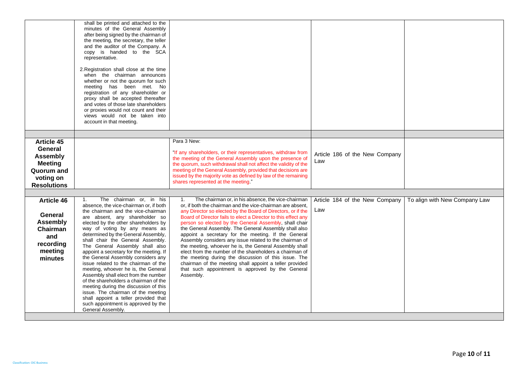|                                                                                                                    | shall be printed and attached to the<br>minutes of the General Assembly<br>after being signed by the chairman of<br>the meeting, the secretary, the teller<br>and the auditor of the Company. A<br>copy is handed to the SCA<br>representative.<br>2. Registration shall close at the time<br>when the chairman announces<br>whether or not the quorum for such<br>meeting has been met. No<br>registration of any shareholder or<br>proxy shall be accepted thereafter<br>and votes of those late shareholders<br>or proxies would not count and their<br>views would not be taken into<br>account in that meeting.                                                                                                                                                        |                                                                                                                                                                                                                                                                                                                                                                                                                                                                                                                                                                                                                                                                                                                                                                                                        |                                       |                               |
|--------------------------------------------------------------------------------------------------------------------|-----------------------------------------------------------------------------------------------------------------------------------------------------------------------------------------------------------------------------------------------------------------------------------------------------------------------------------------------------------------------------------------------------------------------------------------------------------------------------------------------------------------------------------------------------------------------------------------------------------------------------------------------------------------------------------------------------------------------------------------------------------------------------|--------------------------------------------------------------------------------------------------------------------------------------------------------------------------------------------------------------------------------------------------------------------------------------------------------------------------------------------------------------------------------------------------------------------------------------------------------------------------------------------------------------------------------------------------------------------------------------------------------------------------------------------------------------------------------------------------------------------------------------------------------------------------------------------------------|---------------------------------------|-------------------------------|
|                                                                                                                    |                                                                                                                                                                                                                                                                                                                                                                                                                                                                                                                                                                                                                                                                                                                                                                             |                                                                                                                                                                                                                                                                                                                                                                                                                                                                                                                                                                                                                                                                                                                                                                                                        |                                       |                               |
| Article 45<br>General<br><b>Assembly</b><br><b>Meeting</b><br><b>Quorum and</b><br>voting on<br><b>Resolutions</b> |                                                                                                                                                                                                                                                                                                                                                                                                                                                                                                                                                                                                                                                                                                                                                                             | Para 3 New:<br>"If any shareholders, or their representatives, withdraw from<br>the meeting of the General Assembly upon the presence of<br>the quorum, such withdrawal shall not affect the validity of the<br>meeting of the General Assembly, provided that decisions are<br>issued by the majority vote as defined by law of the remaining<br>shares represented at the meeting."                                                                                                                                                                                                                                                                                                                                                                                                                  | Article 186 of the New Company<br>Law |                               |
|                                                                                                                    |                                                                                                                                                                                                                                                                                                                                                                                                                                                                                                                                                                                                                                                                                                                                                                             |                                                                                                                                                                                                                                                                                                                                                                                                                                                                                                                                                                                                                                                                                                                                                                                                        |                                       |                               |
| <b>Article 46</b><br>General<br><b>Assembly</b><br>Chairman<br>and<br>recording<br>meeting<br>minutes              | The chairman or, in his<br>1.<br>absence, the vice-chairman or, if both<br>the chairman and the vice-chairman<br>are absent, any shareholder so<br>elected by the other shareholders by<br>way of voting by any means as<br>determined by the General Assembly,<br>shall chair the General Assembly.<br>The General Assembly shall also<br>appoint a secretary for the meeting. If<br>the General Assembly considers any<br>issue related to the chairman of the<br>meeting, whoever he is, the General<br>Assembly shall elect from the number<br>of the shareholders a chairman of the<br>meeting during the discussion of this<br>issue. The chairman of the meeting<br>shall appoint a teller provided that<br>such appointment is approved by the<br>General Assembly. | The chairman or, in his absence, the vice-chairman<br>1.<br>or, if both the chairman and the vice-chairman are absent,<br>any Director so elected by the Board of Directors, or if the<br>Board of Director fails to elect a Director to this effect any<br>person so elected by the General Assembly, shall chair<br>the General Assembly. The General Assembly shall also<br>appoint a secretary for the meeting. If the General<br>Assembly considers any issue related to the chairman of<br>the meeting, whoever he is, the General Assembly shall<br>elect from the number of the shareholders a chairman of<br>the meeting during the discussion of this issue. The<br>chairman of the meeting shall appoint a teller provided<br>that such appointment is approved by the General<br>Assembly. | Article 184 of the New Company<br>Law | To align with New Company Law |